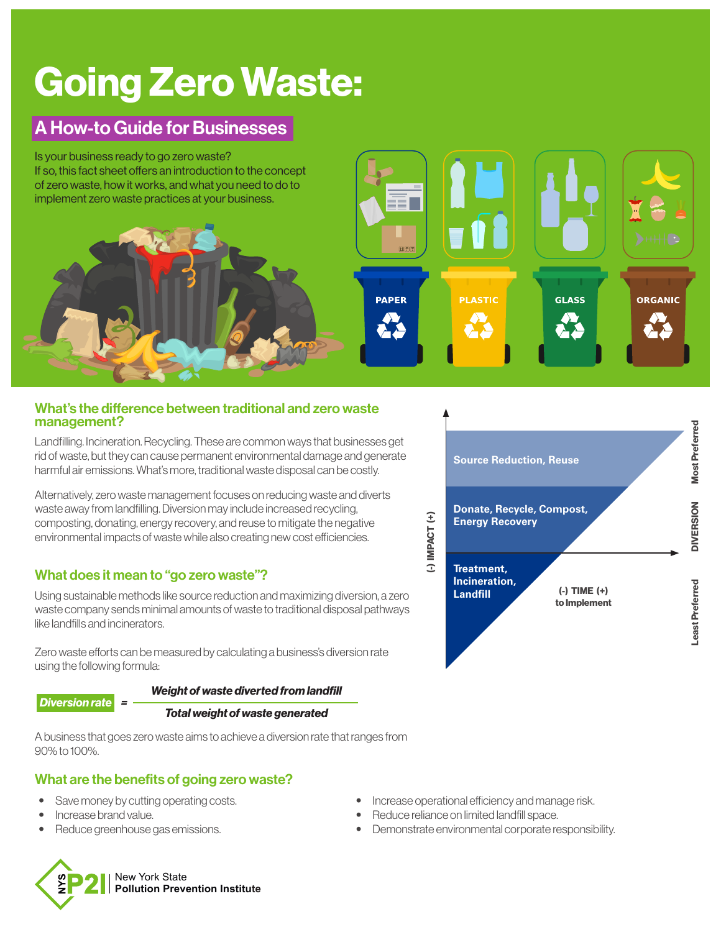# Going Zero Waste:

# A How-to Guide for Businesses

Is your business ready to go zero waste? If so, this fact sheet offers an introduction to the concept of zero waste, how it works, and what you need to do to implement zero waste practices at your business.

#### What's the difference between traditional and zero waste management?

Landfilling. Incineration. Recycling. These are common ways that businesses get rid of waste, but they can cause permanent environmental damage and generate harmful air emissions. What's more, traditional waste disposal can be costly.

Alternatively, zero waste management focuses on reducing waste and diverts waste away from landfilling. Diversion may include increased recycling, composting, donating, energy recovery, and reuse to mitigate the negative environmental impacts of waste while also creating new cost efficiencies.

# What does it mean to "go zero waste"?

Using sustainable methods like source reduction and maximizing diversion, a zero waste company sends minimal amounts of waste to traditional disposal pathways like landfills and incinerators.

Zero waste efforts can be measured by calculating a business's diversion rate using the following formula:

#### *Weight of waste diverted from landfill*

#### *Diversion rate =*

#### *Total weight of waste generated*

A business that goes zero waste aims to achieve a diversion rate that ranges from 90% to 100%.

# What are the benefits of going zero waste?

- **•** Save money by cutting operating costs.
- **•** Increase brand value.
- **•** Reduce greenhouse gas emissions.
- New York State **Pollution Prevention Institute**
- **•** Increase operational efficiency and manage risk.
- **•** Reduce reliance on limited landfill space.
- **•** Demonstrate environmental corporate responsibility.